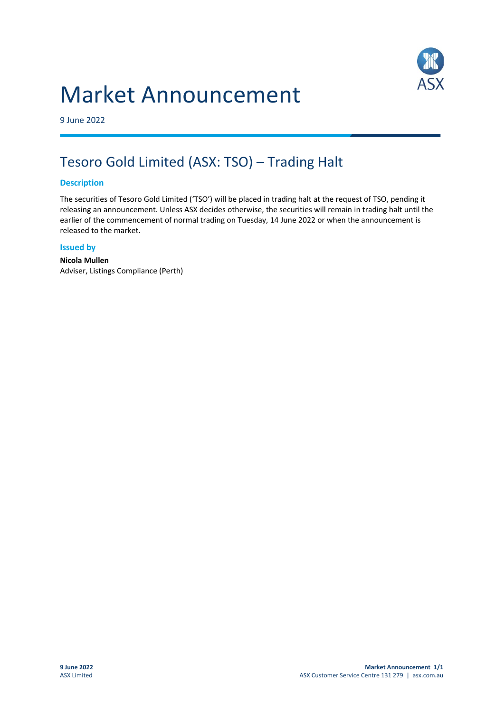# Market Announcement



9 June 2022

# Tesoro Gold Limited (ASX: TSO) – Trading Halt

## **Description**

The securities of Tesoro Gold Limited ('TSO') will be placed in trading halt at the request of TSO, pending it releasing an announcement. Unless ASX decides otherwise, the securities will remain in trading halt until the earlier of the commencement of normal trading on Tuesday, 14 June 2022 or when the announcement is released to the market.

### **Issued by**

**Nicola Mullen** Adviser, Listings Compliance (Perth)